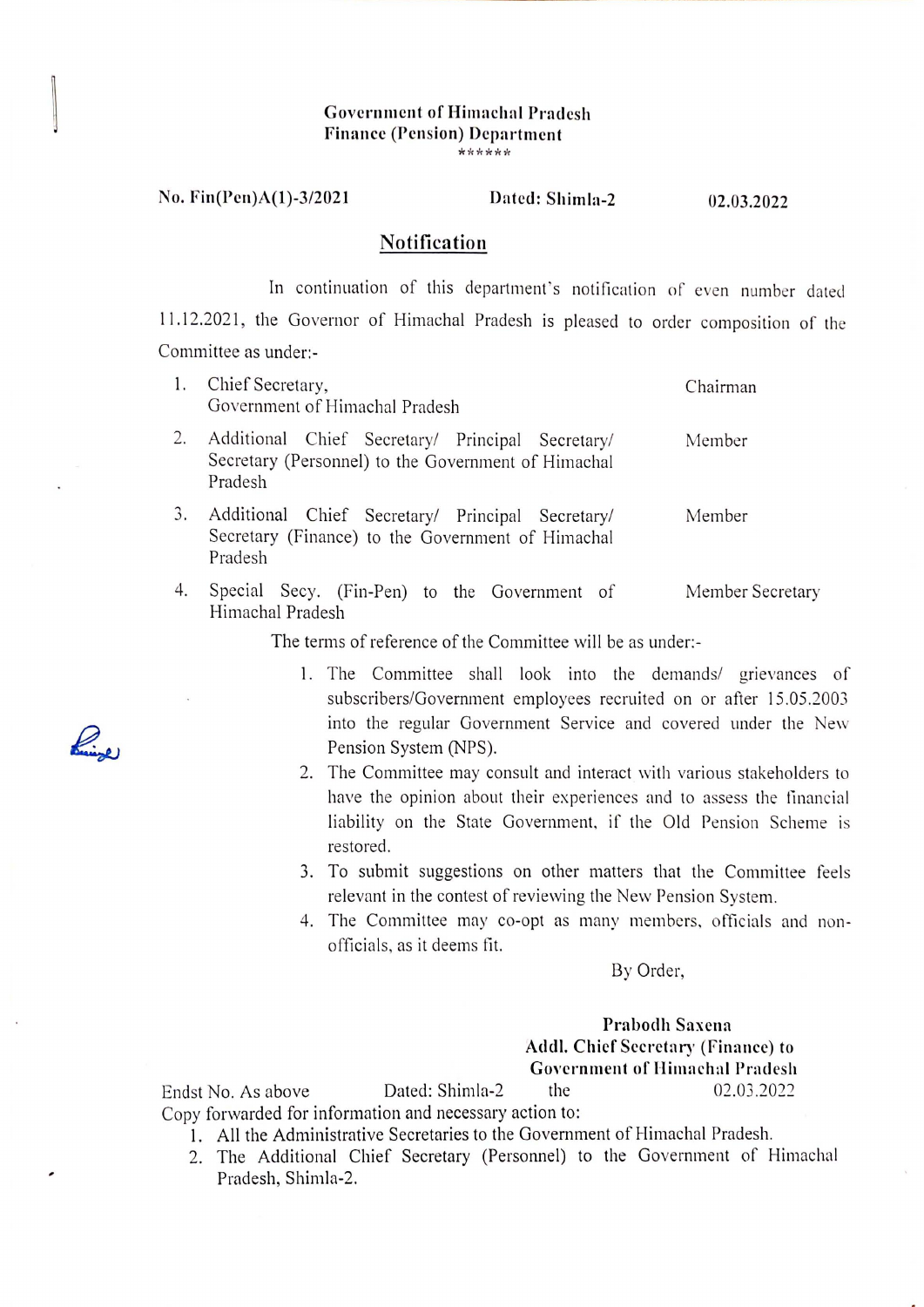### Governmcnt of Himachal Pradcsh Financc (Pcnsion) Dcpartmcnt **\*\*\*\*\*\***

## No. Fin(Pcn)A(1)-3/2021 Dated: Shimla-2

02.03.2022

## Notification

In continuation of this department's notification of even number dated <sup>11</sup> .12.2021, the Governor of Himachal Pradesh is pleased to order composition of the Committee as under:-

|    | Chief Secretary,<br>Government of Himachal Pradesh                                                                 | Chairman         |
|----|--------------------------------------------------------------------------------------------------------------------|------------------|
|    | Additional Chief Secretary/ Principal Secretary/<br>Secretary (Personnel) to the Government of Himachal<br>Pradesh | Member           |
| 3. | Additional Chief Secretary/ Principal Secretary/<br>Secretary (Finance) to the Government of Himachal<br>Pradesh   | Member           |
| 4. | Special Secy. (Fin-Pen) to the Government of<br>Himachal Pradesh                                                   | Member Secretary |

The terms of reference of the Committee will be as under:-

- 1. The Committee shall look into the demands/ grievances of subscribers/Government employees recruited on or after 15 .05.2003 into the regular Government Service and covered under the New Pension System (NPS).
- 2. The Committee may consult and interact with various stakeholders to have the opinion about their experiences and to assess the financial liability on the State Government, if the Old Pension Scheme is restored.
- 3. To submit suggestions on other matters that the Committee feels relevant in the contest of reviewing the New Pension System.
- 4. The Committee may co-opt as many members, officials and nonofficials, as it deems fit.

By Order,

# Prabodh Saxcna Addl. Chief Secretary (Finance) to Government of Himachal Pradesh

Endst No. As above Dated: Shimla-2 the 02.03.2022 Copy forwarded for information and necessary action to:

- 1. All the Administrative Secretaries to the Government of Himachal Pradesh.
- 2. The Additional Chief Secretary (Personnel) to the Government of Himachal Pradesh, Shimla-2.

 $\ell$